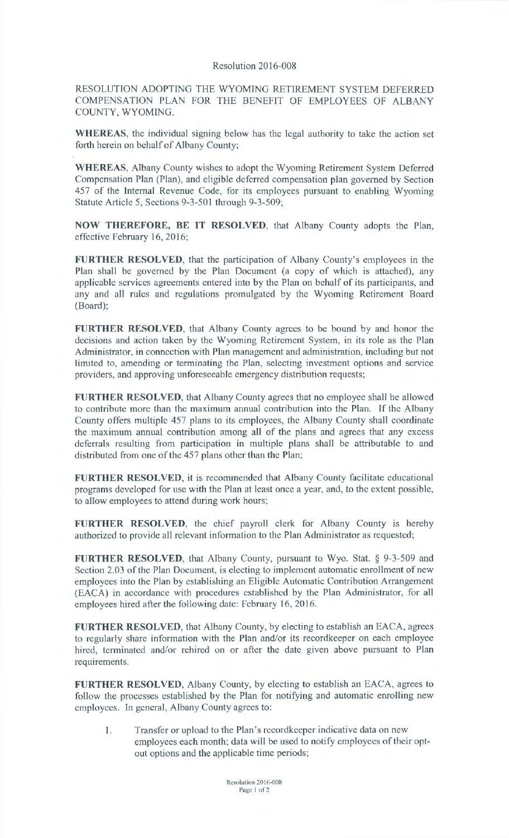## Resolution 2016-008

RESOLUTION ADOPTING THE WYOMING RETIREMENT SYSTEM DEFERRED COMPENSATION PLAN FOR THE BENEFIT OF EMPLOYEES OF ALBANY COUNTY, WYOMING.

**WHEREAS,** the individual signing below has the legal authority to take the action set forth herein on behalf of Albany County;

**WHEREAS,** Albany County wishes to adopt the Wyoming Retirement System Deferred Compensation Plan (Plan), and eligible deferred compensation plan governed by Section 457 of the Internal Revenue Code, for its employees pursuant to enabling Wyoming Statute Article 5, Sections 9-3-501 through 9-3-509;

**NOW THEREFORE, BE IT RESOLVED,** that Albany County adopts the Plan, effective February 16, 2016;

**FURTHER RESOLVED,** that the participation of Albany County's employees in the Plan shall be governed by the Plan Document (a copy of which is attached), any applicable services agreements entered into by the Plan on behalf of its participants, and any and all rules and regulations promulgated by the Wyoming Retirement Board (Board);

**FURTHER RESOLVED,** that Albany County agrees to be bound by and honor the decisions and action taken by the Wyoming Retirement System, in its role as the Plan Administrator, in connection with Plan management and administration, including but not limited to, amending or terminating the Plan, selecting investment options and service providers, and approving unforeseeable emergency distribution requests;

**FURTHER RESOLVED,** that Albany County agrees that no employee shall be allowed to contribute more than the maximum annual contribution into the Plan. If the Albany County offers multiple 457 plans to its employees, the Albany County shall coordinate the maximum annual contribution among all of the plans and agrees that any excess deferrals resulting from participation in multiple plans shall be attributable to and distributed from one of the 457 plans other than the Plan;

**FURTHER RESOLVED,** it is recommended that Albany County facilitate educational programs developed for use with the Plan at least once a year, and, to the extent possible, to allow employees to attend during work hours;

**FURTHER RESOLVED,** the chief payroll clerk for Albany County is hereby authorized to provide all relevant information to the Plan Administrator as requested;

**FURTHER RESOLVED,** that Albany County, pursuant to Wyo. Stat. § 9-3-509 and Section 2.03 of the Plan Document, is electing to implement automatic enrollment of new employees into the Plan by establishing an Eligible Automatic Contribution Arrangement (EACA) in accordance with procedures established by the Plan Administrator, for all employees hired after the following date: February 16, 2016.

**FURTHER RESOLVED,** that Albany County, by electing to establish an EACA, agrees to regularly share information with the Plan and/or its recordkeeper on each employee hired, terminated and/or rehired on or after the date given above pursuant to Plan requirements.

**FURTHER RESOLVED,** Albany County, by electing to establish an EACA, agrees to follow the processes established by the Plan for notifying and automatic enrolling new employees. In general, Albany County agrees to:

1. Transfer or upload to the Plan's recordkeeper indicative data on new employees each month; data will be used to notify employees of their optout options and the applicable time periods;